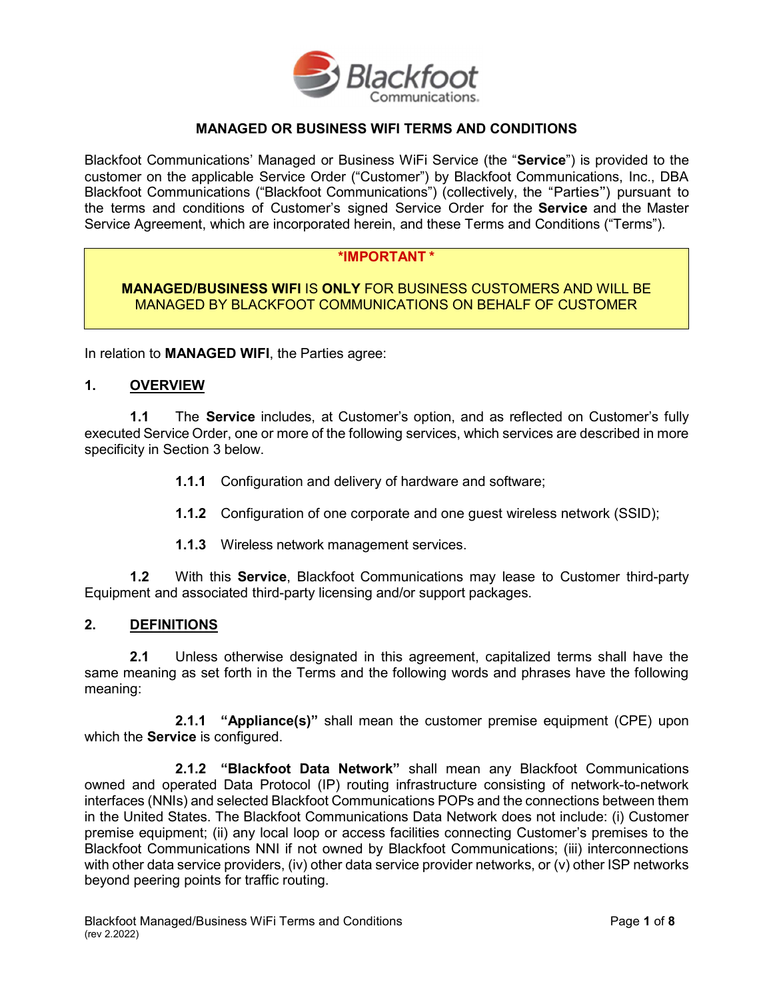

## MANAGED OR BUSINESS WIFI TERMS AND CONDITIONS

Blackfoot Communications' Managed or Business WiFi Service (the "Service") is provided to the customer on the applicable Service Order ("Customer") by Blackfoot Communications, Inc., DBA Blackfoot Communications ("Blackfoot Communications") (collectively, the "Parties") pursuant to the terms and conditions of Customer's signed Service Order for the Service and the Master Service Agreement, which are incorporated herein, and these Terms and Conditions ("Terms").

### \*IMPORTANT \*

MANAGED/BUSINESS WIFI IS ONLY FOR BUSINESS CUSTOMERS AND WILL BE MANAGED BY BLACKFOOT COMMUNICATIONS ON BEHALF OF CUSTOMER

In relation to MANAGED WIFI, the Parties agree:

#### 1. OVERVIEW

**1.1** The **Service** includes, at Customer's option, and as reflected on Customer's fully executed Service Order, one or more of the following services, which services are described in more specificity in Section 3 below.

- 1.1.1 Configuration and delivery of hardware and software;
- 1.1.2 Configuration of one corporate and one guest wireless network (SSID);
- 1.1.3 Wireless network management services.

1.2 With this Service, Blackfoot Communications may lease to Customer third-party Equipment and associated third-party licensing and/or support packages.

### 2. DEFINITIONS

2.1 Unless otherwise designated in this agreement, capitalized terms shall have the same meaning as set forth in the Terms and the following words and phrases have the following meaning:

**2.1.1 "Appliance(s)"** shall mean the customer premise equipment (CPE) upon which the **Service** is configured.

2.1.2 "Blackfoot Data Network" shall mean any Blackfoot Communications owned and operated Data Protocol (IP) routing infrastructure consisting of network-to-network interfaces (NNIs) and selected Blackfoot Communications POPs and the connections between them in the United States. The Blackfoot Communications Data Network does not include: (i) Customer premise equipment; (ii) any local loop or access facilities connecting Customer's premises to the Blackfoot Communications NNI if not owned by Blackfoot Communications; (iii) interconnections with other data service providers, (iv) other data service provider networks, or (v) other ISP networks beyond peering points for traffic routing.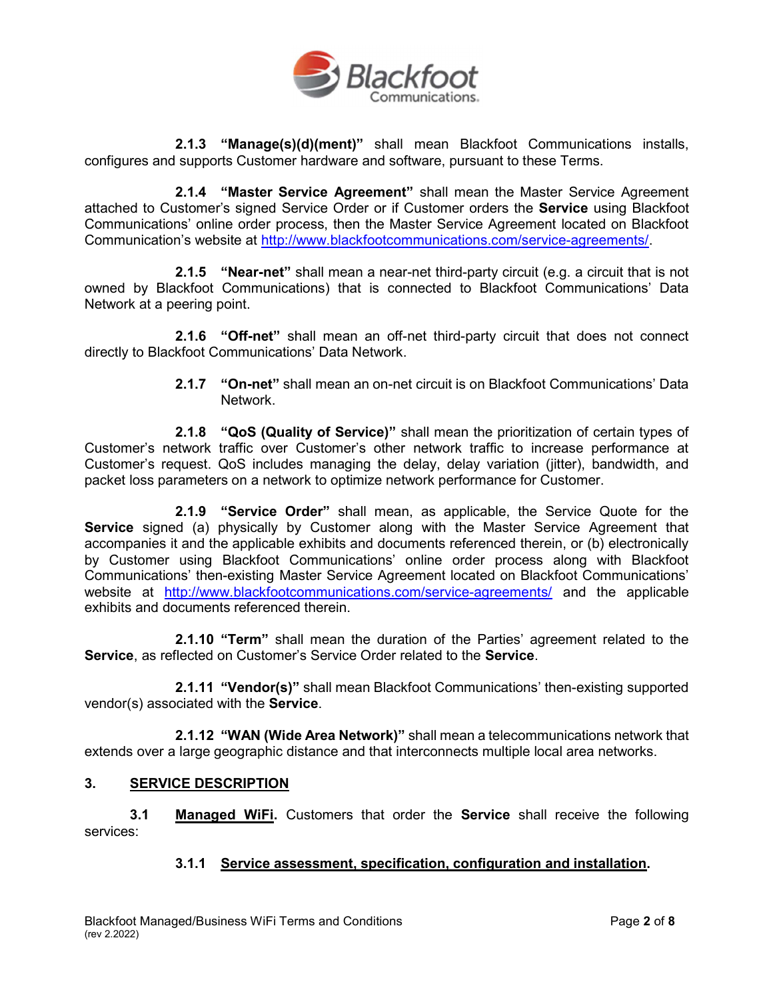

2.1.3 "Manage(s)(d)(ment)" shall mean Blackfoot Communications installs, configures and supports Customer hardware and software, pursuant to these Terms.

2.1.4 "Master Service Agreement" shall mean the Master Service Agreement attached to Customer's signed Service Order or if Customer orders the Service using Blackfoot Communications' online order process, then the Master Service Agreement located on Blackfoot Communication's website at http://www.blackfootcommunications.com/service-agreements/.

2.1.5 "Near-net" shall mean a near-net third-party circuit (e.g. a circuit that is not owned by Blackfoot Communications) that is connected to Blackfoot Communications' Data Network at a peering point.

2.1.6 "Off-net" shall mean an off-net third-party circuit that does not connect directly to Blackfoot Communications' Data Network.

> 2.1.7 "On-net" shall mean an on-net circuit is on Blackfoot Communications' Data Network.

2.1.8 "QoS (Quality of Service)" shall mean the prioritization of certain types of Customer's network traffic over Customer's other network traffic to increase performance at Customer's request. QoS includes managing the delay, delay variation (jitter), bandwidth, and packet loss parameters on a network to optimize network performance for Customer.

**2.1.9** "Service Order" shall mean, as applicable, the Service Quote for the Service signed (a) physically by Customer along with the Master Service Agreement that accompanies it and the applicable exhibits and documents referenced therein, or (b) electronically by Customer using Blackfoot Communications' online order process along with Blackfoot Communications' then-existing Master Service Agreement located on Blackfoot Communications' website at http://www.blackfootcommunications.com/service-agreements/ and the applicable exhibits and documents referenced therein

2.1.10 "Term" shall mean the duration of the Parties' agreement related to the Service, as reflected on Customer's Service Order related to the Service.

2.1.11 "Vendor(s)" shall mean Blackfoot Communications' then-existing supported vendor(s) associated with the Service.

2.1.12 "WAN (Wide Area Network)" shall mean a telecommunications network that extends over a large geographic distance and that interconnects multiple local area networks.

### 3. SERVICE DESCRIPTION

**3.1 Managed WiFi.** Customers that order the **Service** shall receive the following services:

# 3.1.1 Service assessment, specification, configuration and installation.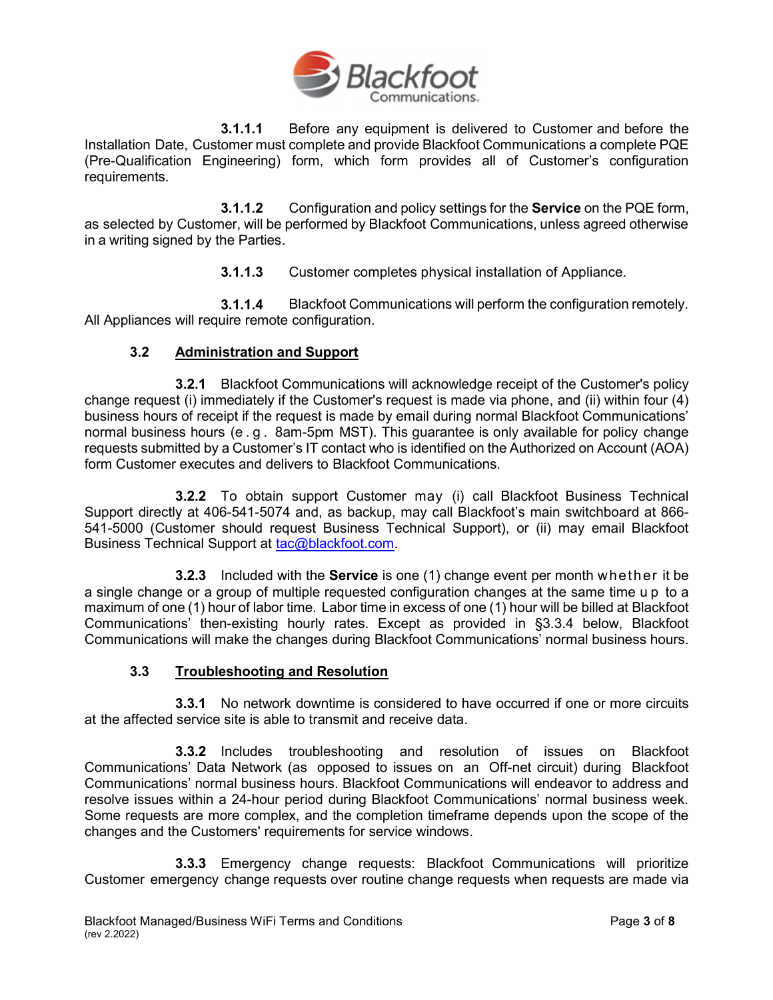

**3.1.1.1** Before any equipment is delivered to Customer and before the Installation Date, Customer must complete and provide Blackfoot Communications a complete PQE (Pre-Qualification Engineering) form, which form provides all of Customer's configuration requirements.

**3.1.1.2** Configuration and policy settings for the **Service** on the PQE form, as selected by Customer, will be performed by Blackfoot Communications, unless agreed otherwise in a writing signed by the Parties.

3.1.1.3 Customer completes physical installation of Appliance.

3.1.1.4 Blackfoot Communications will perform the configuration remotely. All Appliances will require remote configuration.

## 3.2 Administration and Support

3.2.1 Blackfoot Communications will acknowledge receipt of the Customer's policy change request (i) immediately if the Customer's request is made via phone, and (ii) within four (4) business hours of receipt if the request is made by email during normal Blackfoot Communications' normal business hours (e . g . 8am-5pm MST). This guarantee is only available for policy change requests submitted by a Customer's IT contact who is identified on the Authorized on Account (AOA) form Customer executes and delivers to Blackfoot Communications.

3.2.2 To obtain support Customer may (i) call Blackfoot Business Technical Support directly at 406-541-5074 and, as backup, may call Blackfoot's main switchboard at 866- 541-5000 (Customer should request Business Technical Support), or (ii) may email Blackfoot Business Technical Support at tac@blackfoot.com.

**3.2.3** Included with the **Service** is one (1) change event per month whether it be a single change or a group of multiple requested configuration changes at the same time u p to a maximum of one (1) hour of labor time. Labor time in excess of one (1) hour will be billed at Blackfoot Communications' then-existing hourly rates. Except as provided in §3.3.4 below, Blackfoot Communications will make the changes during Blackfoot Communications' normal business hours.

### 3.3 Troubleshooting and Resolution

3.3.1 No network downtime is considered to have occurred if one or more circuits at the affected service site is able to transmit and receive data.

3.3.2 Includes troubleshooting and resolution of issues on Blackfoot Communications' Data Network (as opposed to issues on an Off-net circuit) during Blackfoot Communications' normal business hours. Blackfoot Communications will endeavor to address and resolve issues within a 24-hour period during Blackfoot Communications' normal business week. Some requests are more complex, and the completion timeframe depends upon the scope of the changes and the Customers' requirements for service windows.

3.3.3 Emergency change requests: Blackfoot Communications will prioritize Customer emergency change requests over routine change requests when requests are made via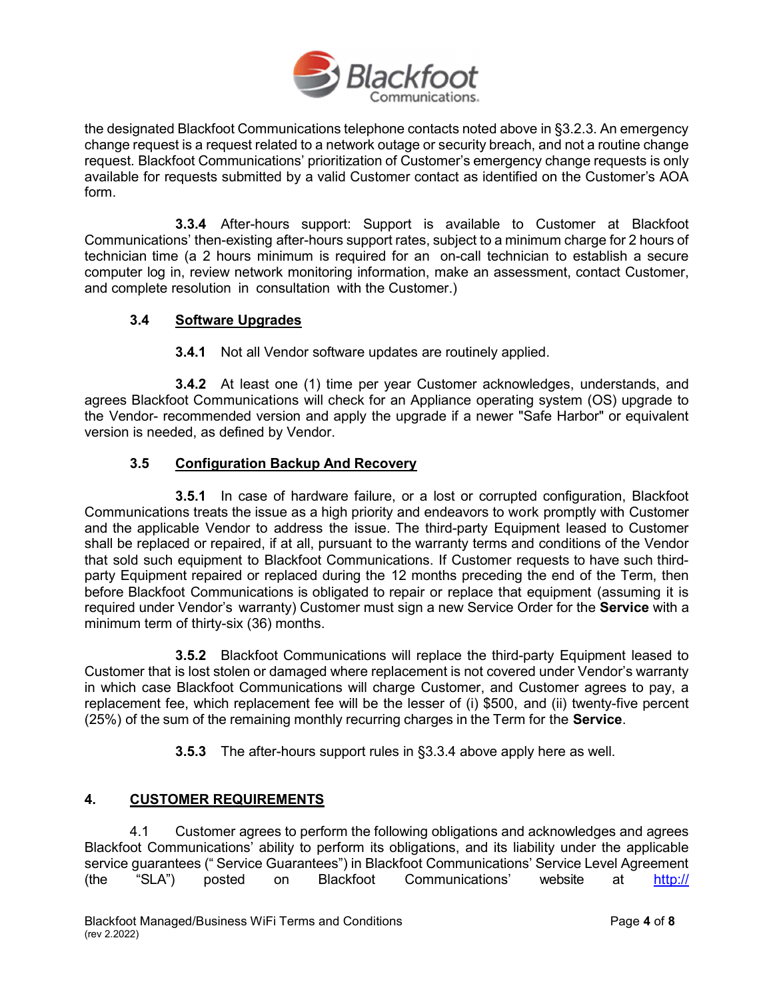

the designated Blackfoot Communications telephone contacts noted above in §3.2.3. An emergency change request is a request related to a network outage or security breach, and not a routine change request. Blackfoot Communications' prioritization of Customer's emergency change requests is only available for requests submitted by a valid Customer contact as identified on the Customer's AOA form.

3.3.4 After-hours support: Support is available to Customer at Blackfoot Communications' then-existing after-hours support rates, subject to a minimum charge for 2 hours of technician time (a 2 hours minimum is required for an on-call technician to establish a secure computer log in, review network monitoring information, make an assessment, contact Customer, and complete resolution in consultation with the Customer.)

# 3.4 Software Upgrades

3.4.1 Not all Vendor software updates are routinely applied.

3.4.2 At least one (1) time per year Customer acknowledges, understands, and agrees Blackfoot Communications will check for an Appliance operating system (OS) upgrade to the Vendor- recommended version and apply the upgrade if a newer "Safe Harbor" or equivalent version is needed, as defined by Vendor.

## 3.5 Configuration Backup And Recovery

**3.5.1** In case of hardware failure, or a lost or corrupted configuration, Blackfoot Communications treats the issue as a high priority and endeavors to work promptly with Customer and the applicable Vendor to address the issue. The third-party Equipment leased to Customer shall be replaced or repaired, if at all, pursuant to the warranty terms and conditions of the Vendor that sold such equipment to Blackfoot Communications. If Customer requests to have such thirdparty Equipment repaired or replaced during the 12 months preceding the end of the Term, then before Blackfoot Communications is obligated to repair or replace that equipment (assuming it is required under Vendor's warranty) Customer must sign a new Service Order for the **Service** with a minimum term of thirty-six (36) months.

3.5.2 Blackfoot Communications will replace the third-party Equipment leased to Customer that is lost stolen or damaged where replacement is not covered under Vendor's warranty in which case Blackfoot Communications will charge Customer, and Customer agrees to pay, a replacement fee, which replacement fee will be the lesser of (i) \$500, and (ii) twenty-five percent (25%) of the sum of the remaining monthly recurring charges in the Term for the **Service**.

3.5.3 The after-hours support rules in §3.3.4 above apply here as well.

# 4. CUSTOMER REQUIREMENTS

4.1 Customer agrees to perform the following obligations and acknowledges and agrees Blackfoot Communications' ability to perform its obligations, and its liability under the applicable service guarantees (" Service Guarantees") in Blackfoot Communications' Service Level Agreement (the "SLA") posted on Blackfoot Communications' website at http://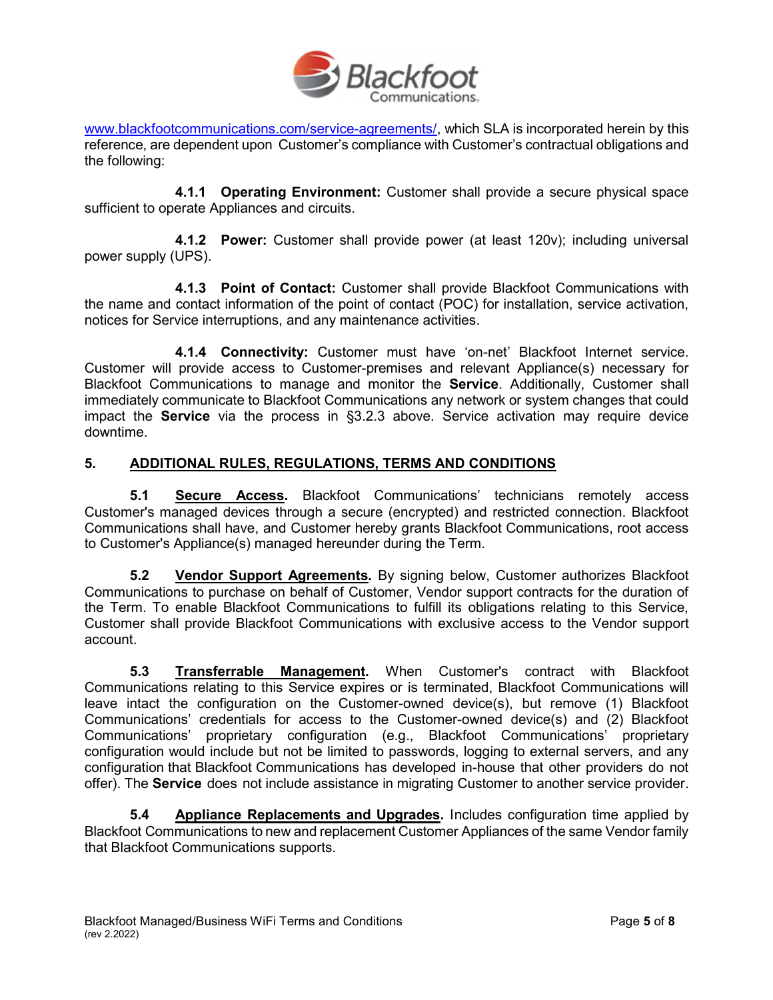

www.blackfootcommunications.com/service-agreements/, which SLA is incorporated herein by this reference, are dependent upon Customer's compliance with Customer's contractual obligations and the following:

4.1.1 Operating Environment: Customer shall provide a secure physical space sufficient to operate Appliances and circuits.

4.1.2 Power: Customer shall provide power (at least 120v); including universal power supply (UPS).

4.1.3 Point of Contact: Customer shall provide Blackfoot Communications with the name and contact information of the point of contact (POC) for installation, service activation, notices for Service interruptions, and any maintenance activities.

4.1.4 Connectivity: Customer must have 'on-net' Blackfoot Internet service. Customer will provide access to Customer-premises and relevant Appliance(s) necessary for Blackfoot Communications to manage and monitor the Service. Additionally, Customer shall immediately communicate to Blackfoot Communications any network or system changes that could impact the **Service** via the process in §3.2.3 above. Service activation may require device downtime.

## 5. ADDITIONAL RULES, REGULATIONS, TERMS AND CONDITIONS

5.1 Secure Access. Blackfoot Communications' technicians remotely access Customer's managed devices through a secure (encrypted) and restricted connection. Blackfoot Communications shall have, and Customer hereby grants Blackfoot Communications, root access to Customer's Appliance(s) managed hereunder during the Term.

5.2 Vendor Support Agreements. By signing below, Customer authorizes Blackfoot Communications to purchase on behalf of Customer, Vendor support contracts for the duration of the Term. To enable Blackfoot Communications to fulfill its obligations relating to this Service, Customer shall provide Blackfoot Communications with exclusive access to the Vendor support account.

5.3 Transferrable Management. When Customer's contract with Blackfoot Communications relating to this Service expires or is terminated, Blackfoot Communications will leave intact the configuration on the Customer-owned device(s), but remove (1) Blackfoot Communications' credentials for access to the Customer-owned device(s) and (2) Blackfoot Communications' proprietary configuration (e.g., Blackfoot Communications' proprietary configuration would include but not be limited to passwords, logging to external servers, and any configuration that Blackfoot Communications has developed in-house that other providers do not offer). The **Service** does not include assistance in migrating Customer to another service provider.

5.4 Appliance Replacements and Upgrades. Includes configuration time applied by Blackfoot Communications to new and replacement Customer Appliances of the same Vendor family that Blackfoot Communications supports.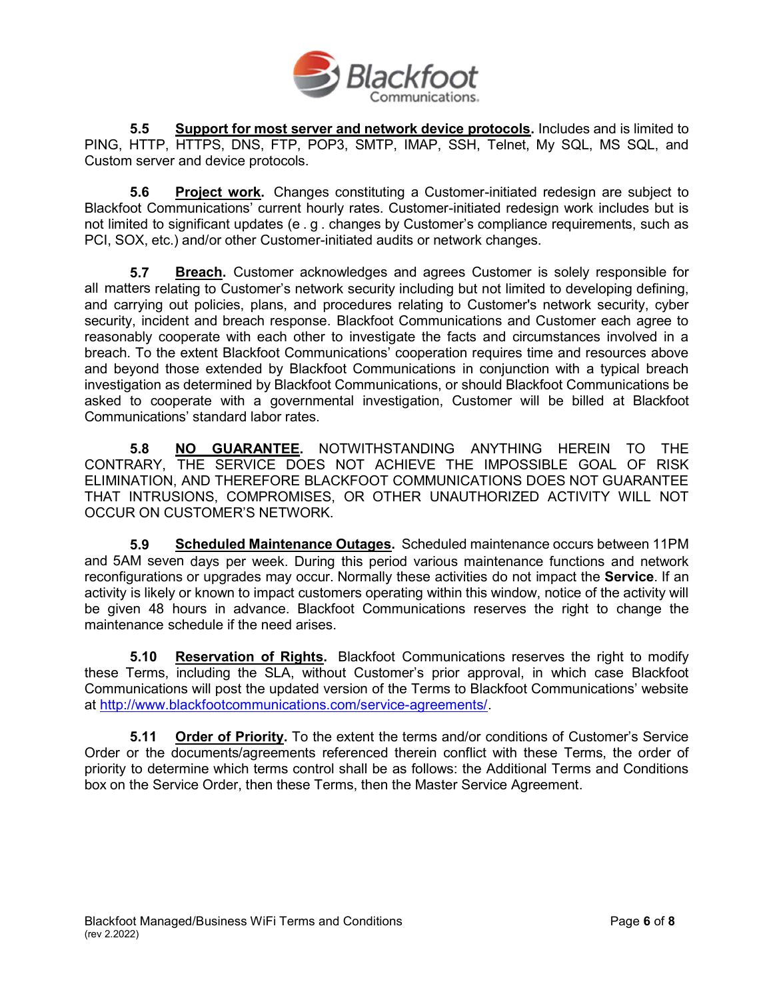

5.5 Support for most server and network device protocols. Includes and is limited to PING, HTTP, HTTPS, DNS, FTP, POP3, SMTP, IMAP, SSH, Telnet, My SQL, MS SQL, and Custom server and device protocols.

**5.6 Project work.** Changes constituting a Customer-initiated redesign are subject to Blackfoot Communications' current hourly rates. Customer-initiated redesign work includes but is not limited to significant updates (e . g . changes by Customer's compliance requirements, such as PCI, SOX, etc.) and/or other Customer-initiated audits or network changes.

5.7 Breach. Customer acknowledges and agrees Customer is solely responsible for all matters relating to Customer's network security including but not limited to developing defining, and carrying out policies, plans, and procedures relating to Customer's network security, cyber security, incident and breach response. Blackfoot Communications and Customer each agree to reasonably cooperate with each other to investigate the facts and circumstances involved in a breach. To the extent Blackfoot Communications' cooperation requires time and resources above and beyond those extended by Blackfoot Communications in conjunction with a typical breach investigation as determined by Blackfoot Communications, or should Blackfoot Communications be asked to cooperate with a governmental investigation, Customer will be billed at Blackfoot Communications' standard labor rates.

5.8 NO GUARANTEE. NOTWITHSTANDING ANYTHING HEREIN TO THE CONTRARY, THE SERVICE DOES NOT ACHIEVE THE IMPOSSIBLE GOAL OF RISK ELIMINATION, AND THEREFORE BLACKFOOT COMMUNICATIONS DOES NOT GUARANTEE THAT INTRUSIONS, COMPROMISES, OR OTHER UNAUTHORIZED ACTIVITY WILL NOT OCCUR ON CUSTOMER'S NETWORK.

5.9 Scheduled Maintenance Outages. Scheduled maintenance occurs between 11PM and 5AM seven days per week. During this period various maintenance functions and network reconfigurations or upgrades may occur. Normally these activities do not impact the Service. If an activity is likely or known to impact customers operating within this window, notice of the activity will be given 48 hours in advance. Blackfoot Communications reserves the right to change the maintenance schedule if the need arises.

**5.10 Reservation of Rights.** Blackfoot Communications reserves the right to modify these Terms, including the SLA, without Customer's prior approval, in which case Blackfoot Communications will post the updated version of the Terms to Blackfoot Communications' website at http://www.blackfootcommunications.com/service-agreements/.

5.11 Order of Priority. To the extent the terms and/or conditions of Customer's Service Order or the documents/agreements referenced therein conflict with these Terms, the order of priority to determine which terms control shall be as follows: the Additional Terms and Conditions box on the Service Order, then these Terms, then the Master Service Agreement.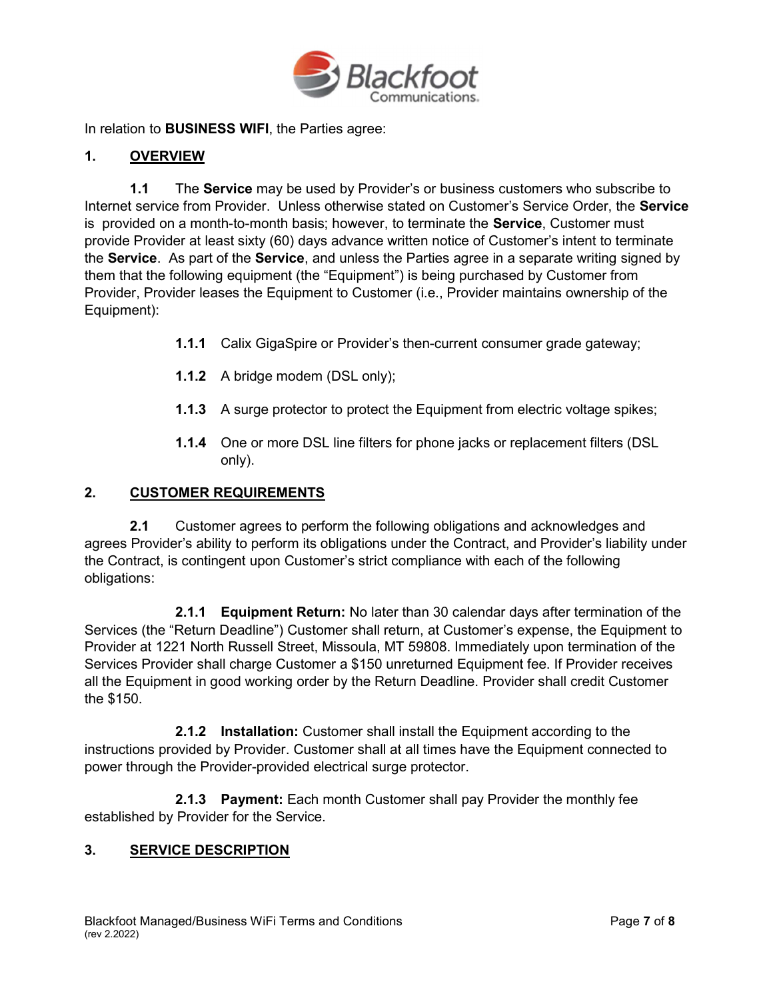

In relation to **BUSINESS WIFI**, the Parties agree:

## 1. OVERVIEW

1.1 The **Service** may be used by Provider's or business customers who subscribe to Internet service from Provider. Unless otherwise stated on Customer's Service Order, the Service is provided on a month-to-month basis; however, to terminate the **Service**, Customer must provide Provider at least sixty (60) days advance written notice of Customer's intent to terminate the Service. As part of the Service, and unless the Parties agree in a separate writing signed by them that the following equipment (the "Equipment") is being purchased by Customer from Provider, Provider leases the Equipment to Customer (i.e., Provider maintains ownership of the Equipment):

- 1.1.1 Calix GigaSpire or Provider's then-current consumer grade gateway;
- 1.1.2 A bridge modem (DSL only);
- **1.1.3** A surge protector to protect the Equipment from electric voltage spikes;
- 1.1.4 One or more DSL line filters for phone jacks or replacement filters (DSL only).

#### 2. CUSTOMER REQUIREMENTS

2.1 Customer agrees to perform the following obligations and acknowledges and agrees Provider's ability to perform its obligations under the Contract, and Provider's liability under the Contract, is contingent upon Customer's strict compliance with each of the following obligations:

2.1.1 Equipment Return: No later than 30 calendar days after termination of the Services (the "Return Deadline") Customer shall return, at Customer's expense, the Equipment to Provider at 1221 North Russell Street, Missoula, MT 59808. Immediately upon termination of the Services Provider shall charge Customer a \$150 unreturned Equipment fee. If Provider receives all the Equipment in good working order by the Return Deadline. Provider shall credit Customer the \$150.

2.1.2 Installation: Customer shall install the Equipment according to the instructions provided by Provider. Customer shall at all times have the Equipment connected to power through the Provider-provided electrical surge protector.

2.1.3 Payment: Each month Customer shall pay Provider the monthly fee established by Provider for the Service.

### 3. SERVICE DESCRIPTION